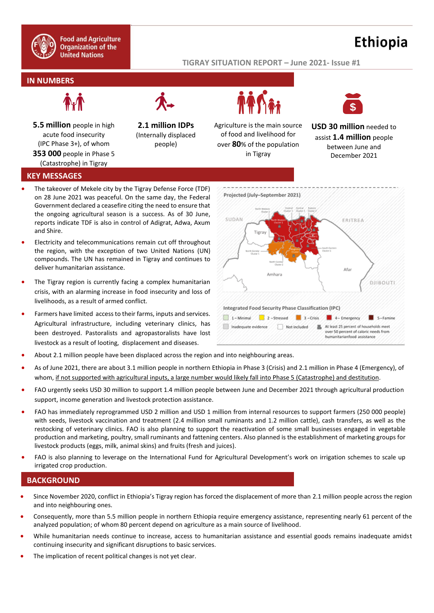

# **Ethiopia**

#### **TIGRAY SITUATION REPORT – June 2021- Issue #1**

## **IN NUMBERS**



**5.5 million** people in high acute food insecurity (IPC Phase 3+), of whom **353 000** people in Phase 5 (Catastrophe) in Tigray

**2.1 million IDPs**  (Internally displaced

people)



Agriculture is the main source of food and livelihood for over **80**% of the population in Tigray



**USD 30 million** needed to assist **1.4 million** people between June and December 2021

### **KEY MESSAGES**

- The takeover of Mekele city by the Tigray Defense Force (TDF) on 28 June 2021 was peaceful. On the same day, the Federal Government declared a ceasefire citing the need to ensure that the ongoing agricultural season is a success. As of 30 June, reports indicate TDF is also in control of Adigrat, Adwa, Axum and Shire.
- Electricity and telecommunications remain cut off throughout the region, with the exception of two United Nations (UN) compounds. The UN has remained in Tigray and continues to deliver humanitarian assistance.
- The Tigray region is currently facing a complex humanitarian crisis, with an alarming increase in food insecurity and loss of livelihoods, as a result of armed conflict.
- Farmers have limited access to their farms, inputs and services. Agricultural infrastructure, including veterinary clinics, has been destroyed. Pastoralists and agropastoralists have lost livestock as a result of looting, displacement and diseases.



- About 2.1 million people have been displaced across the region and into neighbouring areas.
- As of June 2021, there are about 3.1 million people in northern Ethiopia in Phase 3 (Crisis) and 2.1 million in Phase 4 (Emergency), of whom, if not supported with agricultural inputs, a large number would likely fall into Phase 5 (Catastrophe) and destitution.
- FAO urgently seeks USD 30 million to support 1.4 million people between June and December 2021 through agricultural production support, income generation and livestock protection assistance.
- FAO has immediately reprogrammed USD 2 million and USD 1 million from internal resources to support farmers (250 000 people) with seeds, livestock vaccination and treatment (2.4 million small ruminants and 1.2 million cattle), cash transfers, as well as the restocking of veterinary clinics. FAO is also planning to support the reactivation of some small businesses engaged in vegetable production and marketing, poultry, small ruminants and fattening centers. Also planned is the establishment of marketing groups for livestock products (eggs, milk, animal skins) and fruits (fresh and juices).
- FAO is also planning to leverage on the International Fund for Agricultural Development's work on irrigation schemes to scale up irrigated crop production.

## **BACKGROUND**

- Since November 2020, conflict in Ethiopia's Tigray region has forced the displacement of more than 2.1 million people across the region and into neighbouring ones.
- Consequently, more than 5.5 million people in northern Ethiopia require emergency assistance, representing nearly 61 percent of the analyzed population; of whom 80 percent depend on agriculture as a main source of livelihood.
- While humanitarian needs continue to increase, access to humanitarian assistance and essential goods remains inadequate amidst continuing insecurity and significant disruptions to basic services.
- The implication of recent political changes is not yet clear.